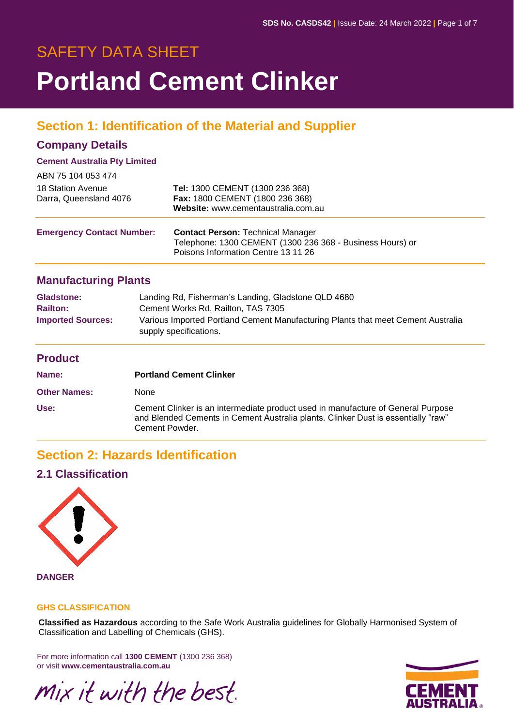# SAFETY DATA SHEET **Portland Cement Clinker**

# **Section 1: Identification of the Material and Supplier**

## **Company Details**

#### **Cement Australia Pty Limited**

| ABN 75 104 053 474                          |                                                                                                                                              |
|---------------------------------------------|----------------------------------------------------------------------------------------------------------------------------------------------|
| 18 Station Avenue<br>Darra, Queensland 4076 | Tel: 1300 CEMENT (1300 236 368)<br>Fax: 1800 CEMENT (1800 236 368)<br>Website: www.cementaustralia.com.au                                    |
| <b>Emergency Contact Number:</b>            | <b>Contact Person: Technical Manager</b><br>Telephone: 1300 CEMENT (1300 236 368 - Business Hours) or<br>Poisons Information Centre 13 11 26 |

### **Manufacturing Plants**

| <b>Gladstone:</b>        | Landing Rd, Fisherman's Landing, Gladstone QLD 4680                                                        |
|--------------------------|------------------------------------------------------------------------------------------------------------|
| <b>Railton:</b>          | Cement Works Rd, Railton, TAS 7305                                                                         |
| <b>Imported Sources:</b> | Various Imported Portland Cement Manufacturing Plants that meet Cement Australia<br>supply specifications. |

## **Product**

| Name:               | <b>Portland Cement Clinker</b>                                                                                                                                                          |
|---------------------|-----------------------------------------------------------------------------------------------------------------------------------------------------------------------------------------|
| <b>Other Names:</b> | <b>None</b>                                                                                                                                                                             |
| Use:                | Cement Clinker is an intermediate product used in manufacture of General Purpose<br>and Blended Cements in Cement Australia plants. Clinker Dust is essentially "raw"<br>Cement Powder. |

# **Section 2: Hazards Identification**

## **2.1 Classification**



**DANGER**

#### **GHS CLASSIFICATION**

**Classified as Hazardous** according to the Safe Work Australia guidelines for Globally Harmonised System of Classification and Labelling of Chemicals (GHS).

For more information call **1300 CEMENT** (1300 236 368) or visit **www.cementaustralia.com.au**

Mix it with the best.

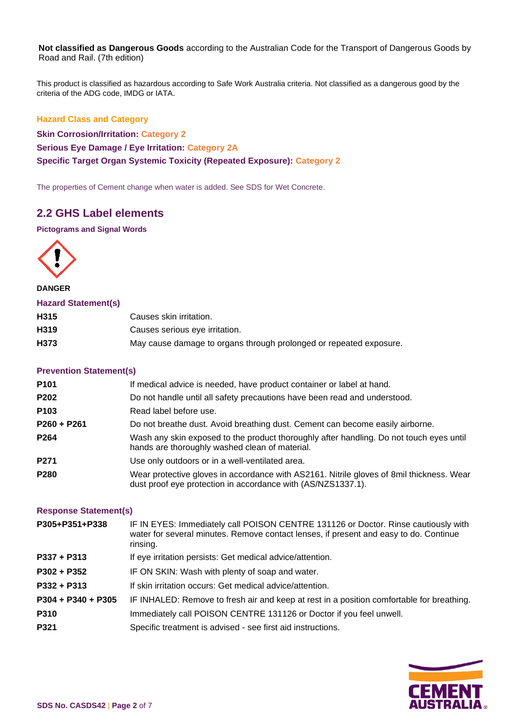**Not classified as Dangerous Goods** according to the Australian Code for the Transport of Dangerous Goods by Road and Rail. (7th edition)

This product is classified as hazardous according to Safe Work Australia criteria. Not classified as a dangerous good by the criteria of the ADG code, IMDG or IATA.

**Hazard Class and Category Skin Corrosion/Irritation: Category 2 Serious Eye Damage / Eye Irritation: Category 2A Specific Target Organ Systemic Toxicity (Repeated Exposure): Category 2**

The properties of Cement change when water is added. See SDS for Wet Concrete.

## **2.2 GHS Label elements**

#### **Pictograms and Signal Words**



#### **DANGER**

#### **Hazard Statement(s)**

| H <sub>3</sub> 15 | Causes skin irritation.                                            |
|-------------------|--------------------------------------------------------------------|
| H <sub>3</sub> 19 | Causes serious eye irritation.                                     |
| H373              | May cause damage to organs through prolonged or repeated exposure. |

#### **Prevention Statement(s)**

| P101             | If medical advice is needed, have product container or label at hand.                                                                                    |
|------------------|----------------------------------------------------------------------------------------------------------------------------------------------------------|
| P202             | Do not handle until all safety precautions have been read and understood.                                                                                |
| P <sub>103</sub> | Read label before use.                                                                                                                                   |
| P260 + P261      | Do not breathe dust. Avoid breathing dust. Cement can become easily airborne.                                                                            |
| P264             | Wash any skin exposed to the product thoroughly after handling. Do not touch eyes until<br>hands are thoroughly washed clean of material.                |
| P271             | Use only outdoors or in a well-ventilated area.                                                                                                          |
| P280             | Wear protective gloves in accordance with AS2161. Nitrile gloves of 8mil thickness. Wear<br>dust proof eye protection in accordance with (AS/NZS1337.1). |

#### **Response Statement(s)**

| P305+P351+P338       | IF IN EYES: Immediately call POISON CENTRE 131126 or Doctor. Rinse cautiously with<br>water for several minutes. Remove contact lenses, if present and easy to do. Continue<br>rinsing. |
|----------------------|-----------------------------------------------------------------------------------------------------------------------------------------------------------------------------------------|
| $P337 + P313$        | If eye irritation persists: Get medical advice/attention.                                                                                                                               |
| $P302 + P352$        | IF ON SKIN: Wash with plenty of soap and water.                                                                                                                                         |
| $P332 + P313$        | If skin irritation occurs: Get medical advice/attention.                                                                                                                                |
| $P304 + P340 + P305$ | IF INHALED: Remove to fresh air and keep at rest in a position comfortable for breathing.                                                                                               |
| P310                 | Immediately call POISON CENTRE 131126 or Doctor if you feel unwell.                                                                                                                     |
| P321                 | Specific treatment is advised - see first aid instructions.                                                                                                                             |

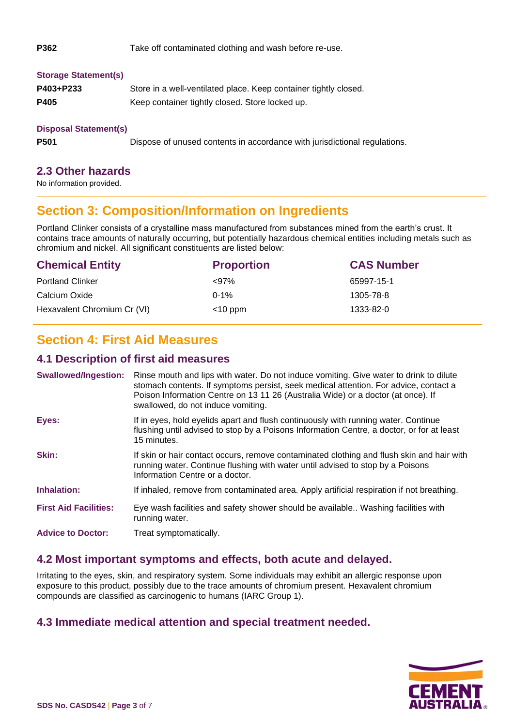| P362                                                    | Take off contaminated clothing and wash before re-use.                    |  |  |  |
|---------------------------------------------------------|---------------------------------------------------------------------------|--|--|--|
| <b>Storage Statement(s)</b>                             |                                                                           |  |  |  |
| P403+P233                                               | Store in a well-ventilated place. Keep container tightly closed.          |  |  |  |
| P405<br>Keep container tightly closed. Store locked up. |                                                                           |  |  |  |
| <b>Disposal Statement(s)</b>                            |                                                                           |  |  |  |
| P501                                                    | Dispose of unused contents in accordance with jurisdictional regulations. |  |  |  |

#### **2.3 Other hazards**

No information provided.

# **Section 3: Composition/Information on Ingredients**

Portland Clinker consists of a crystalline mass manufactured from substances mined from the earth's crust. It contains trace amounts of naturally occurring, but potentially hazardous chemical entities including metals such as chromium and nickel. All significant constituents are listed below:

| <b>Chemical Entity</b>      | <b>Proportion</b> | <b>CAS Number</b> |
|-----------------------------|-------------------|-------------------|
| <b>Portland Clinker</b>     | $< 97\%$          | 65997-15-1        |
| Calcium Oxide               | $0 - 1%$          | 1305-78-8         |
| Hexavalent Chromium Cr (VI) | $<$ 10 ppm        | 1333-82-0         |

# **Section 4: First Aid Measures**

### **4.1 Description of first aid measures**

| <b>Swallowed/Ingestion:</b>  | Rinse mouth and lips with water. Do not induce vomiting. Give water to drink to dilute<br>stomach contents. If symptoms persist, seek medical attention. For advice, contact a<br>Poison Information Centre on 13 11 26 (Australia Wide) or a doctor (at once). If<br>swallowed, do not induce vomiting. |
|------------------------------|----------------------------------------------------------------------------------------------------------------------------------------------------------------------------------------------------------------------------------------------------------------------------------------------------------|
| Eyes:                        | If in eyes, hold eyelids apart and flush continuously with running water. Continue<br>flushing until advised to stop by a Poisons Information Centre, a doctor, or for at least<br>15 minutes.                                                                                                           |
| Skin:                        | If skin or hair contact occurs, remove contaminated clothing and flush skin and hair with<br>running water. Continue flushing with water until advised to stop by a Poisons<br>Information Centre or a doctor.                                                                                           |
| Inhalation:                  | If inhaled, remove from contaminated area. Apply artificial respiration if not breathing.                                                                                                                                                                                                                |
| <b>First Aid Facilities:</b> | Eye wash facilities and safety shower should be available Washing facilities with<br>running water.                                                                                                                                                                                                      |
| <b>Advice to Doctor:</b>     | Treat symptomatically.                                                                                                                                                                                                                                                                                   |

## **4.2 Most important symptoms and effects, both acute and delayed.**

Irritating to the eyes, skin, and respiratory system. Some individuals may exhibit an allergic response upon exposure to this product, possibly due to the trace amounts of chromium present. Hexavalent chromium compounds are classified as carcinogenic to humans (IARC Group 1).

## **4.3 Immediate medical attention and special treatment needed.**

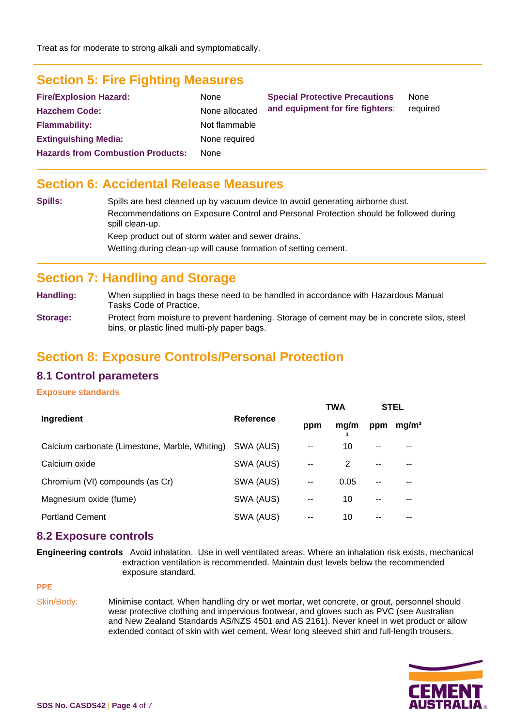# **Section 5: Fire Fighting Measures**

| <b>Fire/Explosion Hazard:</b>            | <b>None</b>    | <b>Special Protective Precautions</b> | None<br>required |  |
|------------------------------------------|----------------|---------------------------------------|------------------|--|
| <b>Hazchem Code:</b>                     | None allocated | and equipment for fire fighters:      |                  |  |
| <b>Flammability:</b>                     | Not flammable  |                                       |                  |  |
| <b>Extinguishing Media:</b>              | None required  |                                       |                  |  |
| <b>Hazards from Combustion Products:</b> | <b>None</b>    |                                       |                  |  |

## **Section 6: Accidental Release Measures**

| <b>Spills:</b> | Spills are best cleaned up by vacuum device to avoid generating airborne dust.                           |
|----------------|----------------------------------------------------------------------------------------------------------|
|                | Recommendations on Exposure Control and Personal Protection should be followed during<br>spill clean-up. |
|                | Keep product out of storm water and sewer drains.                                                        |
|                | Wetting during clean-up will cause formation of setting cement.                                          |

## **Section 7: Handling and Storage**

**Handling:** When supplied in bags these need to be handled in accordance with Hazardous Manual Tasks Code of Practice.

**Storage:** Protect from moisture to prevent hardening. Storage of cement may be in concrete silos, steel bins, or plastic lined multi-ply paper bags.

## **Section 8: Exposure Controls/Personal Protection**

### **8.1 Control parameters**

#### **Exposure standards**

|                                                |                  | <b>TWA</b>    |      | <b>STEL</b> |                   |
|------------------------------------------------|------------------|---------------|------|-------------|-------------------|
| Ingredient                                     | <b>Reference</b> |               | mg/m | ppm         | mg/m <sup>3</sup> |
| Calcium carbonate (Limestone, Marble, Whiting) | SWA (AUS)        | $\sim$ $\sim$ | 10   | $- -$       | --                |
| Calcium oxide                                  | SWA (AUS)        | $\sim$ $\sim$ | 2    | $-$         | --                |
| Chromium (VI) compounds (as Cr)                | SWA (AUS)        | $-$           | 0.05 | $ -$        |                   |
| Magnesium oxide (fume)                         | SWA (AUS)        | $-$           | 10   | $- -$       |                   |
| <b>Portland Cement</b>                         | SWA (AUS)        | $-$           | 10   | --          |                   |

#### **8.2 Exposure controls**

**Engineering controls** Avoid inhalation. Use in well ventilated areas. Where an inhalation risk exists, mechanical extraction ventilation is recommended. Maintain dust levels below the recommended exposure standard.

**PPE** 

Skin/Body: Minimise contact. When handling dry or wet mortar, wet concrete, or grout, personnel should wear protective clothing and impervious footwear, and gloves such as PVC (see Australian and New Zealand Standards AS/NZS 4501 and AS 2161). Never kneel in wet product or allow extended contact of skin with wet cement. Wear long sleeved shirt and full-length trousers.

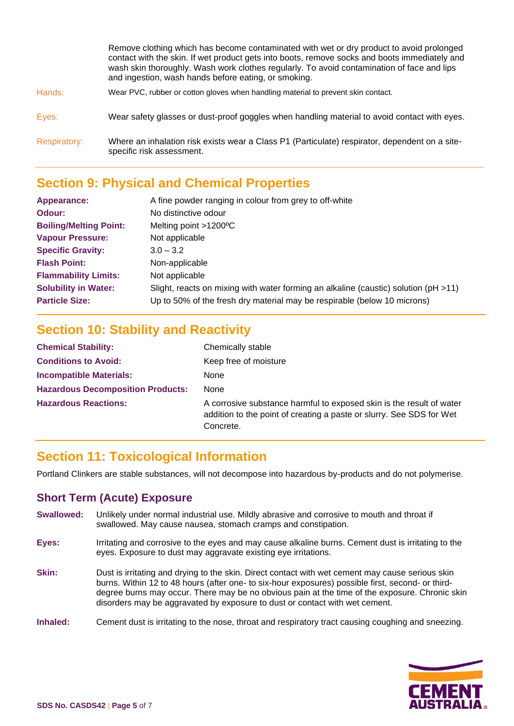|                     | Remove clothing which has become contaminated with wet or dry product to avoid prolonged<br>contact with the skin. If wet product gets into boots, remove socks and boots immediately and<br>wash skin thoroughly. Wash work clothes regularly. To avoid contamination of face and lips<br>and ingestion, wash hands before eating, or smoking. |
|---------------------|-------------------------------------------------------------------------------------------------------------------------------------------------------------------------------------------------------------------------------------------------------------------------------------------------------------------------------------------------|
| Hands:              | Wear PVC, rubber or cotton gloves when handling material to prevent skin contact.                                                                                                                                                                                                                                                               |
| Eyes:               | Wear safety glasses or dust-proof goggles when handling material to avoid contact with eyes.                                                                                                                                                                                                                                                    |
| <b>Respiratory:</b> | Where an inhalation risk exists wear a Class P1 (Particulate) respirator, dependent on a site-<br>specific risk assessment.                                                                                                                                                                                                                     |

# **Section 9: Physical and Chemical Properties**

| Appearance:                   | A fine powder ranging in colour from grey to off-white                              |
|-------------------------------|-------------------------------------------------------------------------------------|
| Odour:                        | No distinctive odour                                                                |
| <b>Boiling/Melting Point:</b> | Melting point >1200°C                                                               |
| <b>Vapour Pressure:</b>       | Not applicable                                                                      |
| <b>Specific Gravity:</b>      | $3.0 - 3.2$                                                                         |
| <b>Flash Point:</b>           | Non-applicable                                                                      |
| <b>Flammability Limits:</b>   | Not applicable                                                                      |
| <b>Solubility in Water:</b>   | Slight, reacts on mixing with water forming an alkaline (caustic) solution (pH >11) |
| <b>Particle Size:</b>         | Up to 50% of the fresh dry material may be respirable (below 10 microns)            |

# **Section 10: Stability and Reactivity**

| <b>Chemical Stability:</b>               | Chemically stable                                                                                                                                         |
|------------------------------------------|-----------------------------------------------------------------------------------------------------------------------------------------------------------|
| <b>Conditions to Avoid:</b>              | Keep free of moisture                                                                                                                                     |
| <b>Incompatible Materials:</b>           | None                                                                                                                                                      |
| <b>Hazardous Decomposition Products:</b> | None                                                                                                                                                      |
| <b>Hazardous Reactions:</b>              | A corrosive substance harmful to exposed skin is the result of water<br>addition to the point of creating a paste or slurry. See SDS for Wet<br>Concrete. |

# **Section 11: Toxicological Information**

Portland Clinkers are stable substances, will not decompose into hazardous by-products and do not polymerise.

## **Short Term (Acute) Exposure**

- **Swallowed:** Unlikely under normal industrial use. Mildly abrasive and corrosive to mouth and throat if swallowed. May cause nausea, stomach cramps and constipation.
- **Eyes:** Irritating and corrosive to the eyes and may cause alkaline burns. Cement dust is irritating to the eyes. Exposure to dust may aggravate existing eye irritations.
- **Skin:** Dust is irritating and drying to the skin. Direct contact with wet cement may cause serious skin burns. Within 12 to 48 hours (after one- to six-hour exposures) possible first, second- or thirddegree burns may occur. There may be no obvious pain at the time of the exposure. Chronic skin disorders may be aggravated by exposure to dust or contact with wet cement.

#### **Inhaled:** Cement dust is irritating to the nose, throat and respiratory tract causing coughing and sneezing.

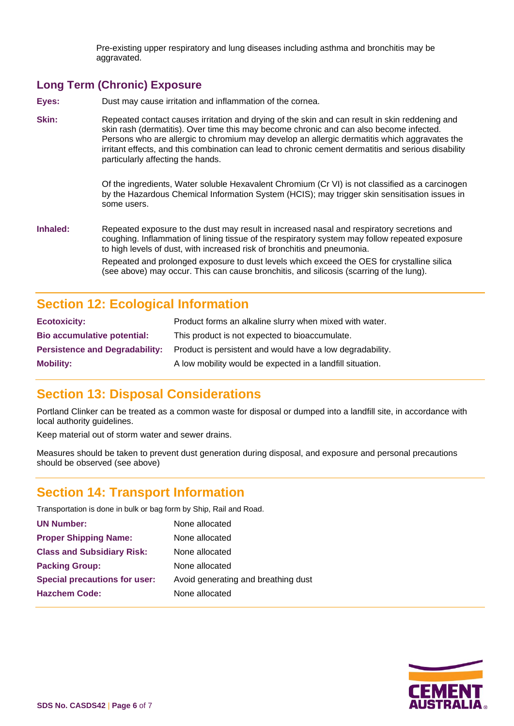Pre-existing upper respiratory and lung diseases including asthma and bronchitis may be aggravated.

## **Long Term (Chronic) Exposure**

**Eyes:** Dust may cause irritation and inflammation of the cornea.

**Skin:** Repeated contact causes irritation and drying of the skin and can result in skin reddening and skin rash (dermatitis). Over time this may become chronic and can also become infected. Persons who are allergic to chromium may develop an allergic dermatitis which aggravates the irritant effects, and this combination can lead to chronic cement dermatitis and serious disability particularly affecting the hands.

> Of the ingredients, Water soluble Hexavalent Chromium (Cr VI) is not classified as a carcinogen by the Hazardous Chemical Information System (HCIS); may trigger skin sensitisation issues in some users.

**Inhaled:** Repeated exposure to the dust may result in increased nasal and respiratory secretions and coughing. Inflammation of lining tissue of the respiratory system may follow repeated exposure to high levels of dust, with increased risk of bronchitis and pneumonia. Repeated and prolonged exposure to dust levels which exceed the OES for crystalline silica (see above) may occur. This can cause bronchitis, and silicosis (scarring of the lung).

# **Section 12: Ecological Information**

| <b>Ecotoxicity:</b>                   | Product forms an alkaline slurry when mixed with water.   |
|---------------------------------------|-----------------------------------------------------------|
| <b>Bio accumulative potential:</b>    | This product is not expected to bioaccumulate.            |
| <b>Persistence and Degradability:</b> | Product is persistent and would have a low degradability. |
| <b>Mobility:</b>                      | A low mobility would be expected in a landfill situation. |

# **Section 13: Disposal Considerations**

Portland Clinker can be treated as a common waste for disposal or dumped into a landfill site, in accordance with local authority guidelines.

Keep material out of storm water and sewer drains.

Measures should be taken to prevent dust generation during disposal, and exposure and personal precautions should be observed (see above)

# **Section 14: Transport Information**

Transportation is done in bulk or bag form by Ship, Rail and Road.

| <b>UN Number:</b>                    | None allocated                      |
|--------------------------------------|-------------------------------------|
| <b>Proper Shipping Name:</b>         | None allocated                      |
| <b>Class and Subsidiary Risk:</b>    | None allocated                      |
| <b>Packing Group:</b>                | None allocated                      |
| <b>Special precautions for user:</b> | Avoid generating and breathing dust |
| <b>Hazchem Code:</b>                 | None allocated                      |
|                                      |                                     |